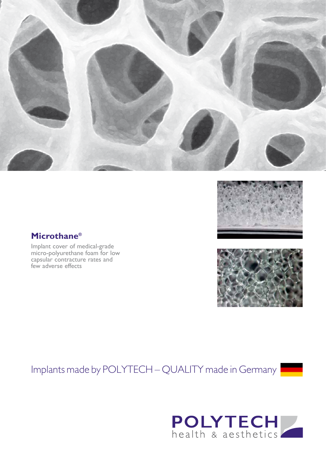



### **Microthane®**

Implant cover of medical-grade micro-polyurethane foam for low capsular contracture rates and few adverse effects

# Implants made by POLYTECH – QUALITY made in Germany